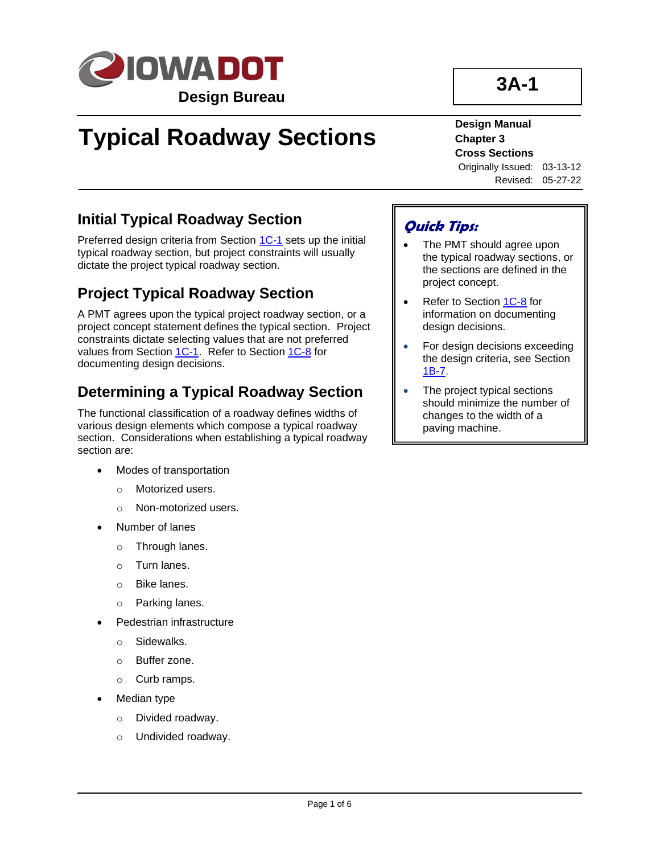

# **Typical Roadway Sections**

# **3A-1**

#### **Design Manual Chapter 3 Cross Sections**

Originally Issued: 03-13-12 Revised: 05-27-22

### **Initial Typical Roadway Section**

Preferred design criteria from Section [1C-1](01C-01.pdf) sets up the initial typical roadway section, but project constraints will usually dictate the project typical roadway section.

### **Project Typical Roadway Section**

A PMT agrees upon the typical project roadway section, or a project concept statement defines the typical section. Project constraints dictate selecting values that are not preferred values from Section [1C-1.](01C-01.pdf) Refer to Section [1C-8](01C-08.pdf) for documenting design decisions.

### **Determining a Typical Roadway Section**

The functional classification of a roadway defines widths of various design elements which compose a typical roadway section. Considerations when establishing a typical roadway section are:

- Modes of transportation
	- o Motorized users.
	- o Non-motorized users.
- Number of lanes
	- o Through lanes.
	- o Turn lanes.
	- o Bike lanes.
	- o Parking lanes.
- Pedestrian infrastructure
	- o Sidewalks.
	- o Buffer zone.
	- o Curb ramps.
- Median type
	- o Divided roadway.
	- o Undivided roadway.

### **Quick Tips:**

- The PMT should agree upon the typical roadway sections, or the sections are defined in the project concept.
- Refer to Sectio[n 1C-8](01C-08.pdf) for information on documenting design decisions.
- For design decisions exceeding the design criteria, see Section [1B-7.](01b-07.pdf)
- The project typical sections should minimize the number of changes to the width of a paving machine.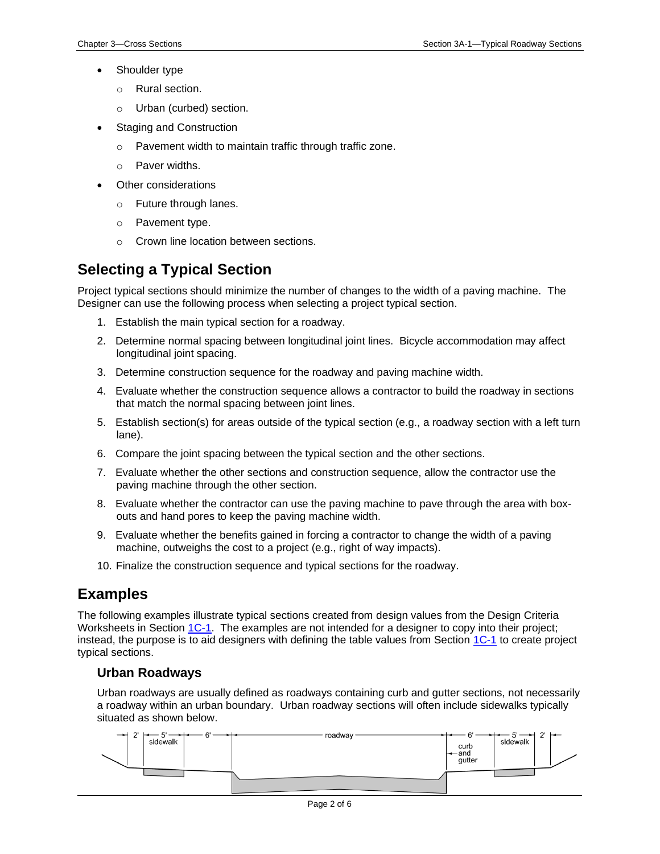- Shoulder type
	- o Rural section.
	- o Urban (curbed) section.
- **Staging and Construction** 
	- o Pavement width to maintain traffic through traffic zone.
	- o Paver widths.
- Other considerations
	- o Future through lanes.
	- o Pavement type.
	- o Crown line location between sections.

### **Selecting a Typical Section**

Project typical sections should minimize the number of changes to the width of a paving machine. The Designer can use the following process when selecting a project typical section.

- 1. Establish the main typical section for a roadway.
- 2. Determine normal spacing between longitudinal joint lines. Bicycle accommodation may affect longitudinal joint spacing.
- 3. Determine construction sequence for the roadway and paving machine width.
- 4. Evaluate whether the construction sequence allows a contractor to build the roadway in sections that match the normal spacing between joint lines.
- 5. Establish section(s) for areas outside of the typical section (e.g., a roadway section with a left turn lane).
- 6. Compare the joint spacing between the typical section and the other sections.
- 7. Evaluate whether the other sections and construction sequence, allow the contractor use the paving machine through the other section.
- 8. Evaluate whether the contractor can use the paving machine to pave through the area with boxouts and hand pores to keep the paving machine width.
- 9. Evaluate whether the benefits gained in forcing a contractor to change the width of a paving machine, outweighs the cost to a project (e.g., right of way impacts).
- 10. Finalize the construction sequence and typical sections for the roadway.

### **Examples**

The following examples illustrate typical sections created from design values from the Design Criteria Worksheets in Section [1C-1.](01C-01.pdf) The examples are not intended for a designer to copy into their project; instead, the purpose is to aid designers with defining the table values from Section [1C-1](01C-01.pdf) to create project typical sections.

#### **Urban Roadways**

Urban roadways are usually defined as roadways containing curb and gutter sections, not necessarily a roadway within an urban boundary. Urban roadway sections will often include sidewalks typically situated as shown below.

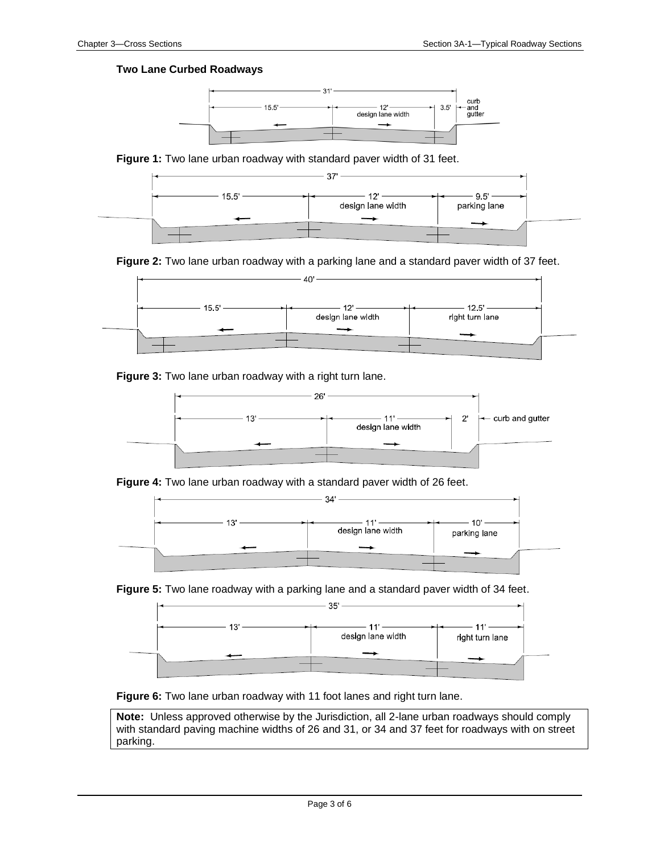#### **Two Lane Curbed Roadways**



**Figure 1:** Two lane urban roadway with standard paver width of 31 feet.



**Figure 2:** Two lane urban roadway with a parking lane and a standard paver width of 37 feet.



**Figure 3:** Two lane urban roadway with a right turn lane.



**Figure 4:** Two lane urban roadway with a standard paver width of 26 feet.







**Figure 6:** Two lane urban roadway with 11 foot lanes and right turn lane.

**Note:** Unless approved otherwise by the Jurisdiction, all 2-lane urban roadways should comply with standard paving machine widths of 26 and 31, or 34 and 37 feet for roadways with on street parking.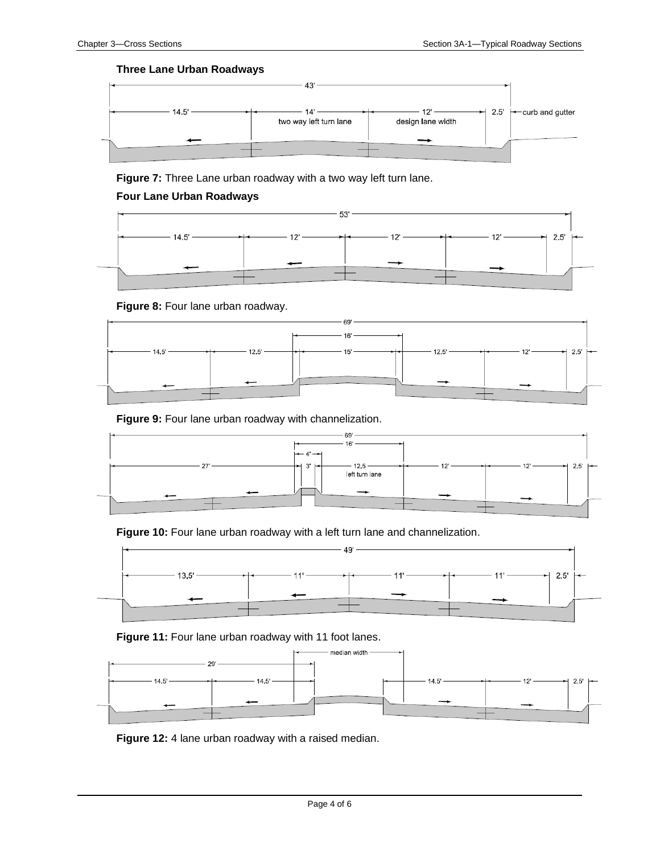#### **Three Lane Urban Roadways**



**Figure 7:** Three Lane urban roadway with a two way left turn lane.

#### **Four Lane Urban Roadways**



**Figure 8:** Four lane urban roadway.



**Figure 9:** Four lane urban roadway with channelization.



**Figure 10:** Four lane urban roadway with a left turn lane and channelization.



**Figure 11:** Four lane urban roadway with 11 foot lanes.



**Figure 12:** 4 lane urban roadway with a raised median.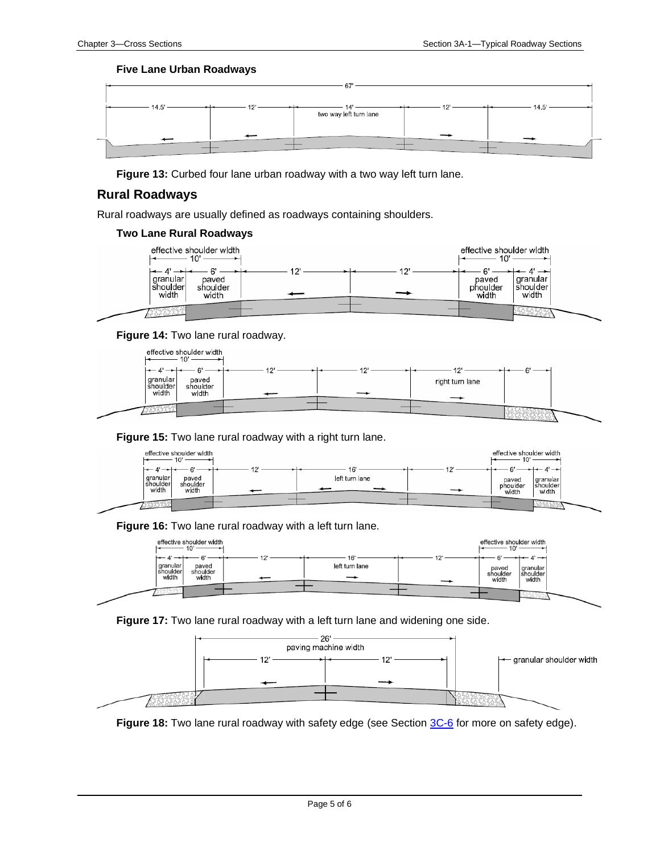#### **Five Lane Urban Roadways**



**Figure 13:** Curbed four lane urban roadway with a two way left turn lane.

#### **Rural Roadways**

Rural roadways are usually defined as roadways containing shoulders.

#### **Two Lane Rural Roadways**



#### **Figure 14:** Two lane rural roadway.



#### **Figure 15:** Two lane rural roadway with a right turn lane.



**Figure 16:** Two lane rural roadway with a left turn lane.



#### **Figure 17:** Two lane rural roadway with a left turn lane and widening one side.



**Figure 18:** Two lane rural roadway with safety edge (see Sectio[n 3C-6](03C-06.pdf) for more on safety edge).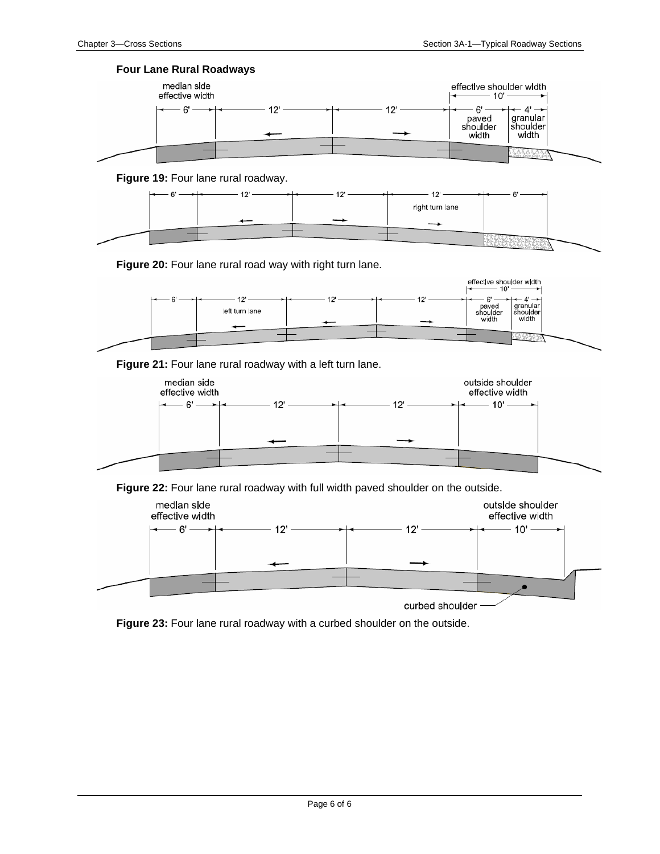





**Figure 20:** Four lane rural road way with right turn lane.



**Figure 21:** Four lane rural roadway with a left turn lane.



**Figure 22:** Four lane rural roadway with full width paved shoulder on the outside.



**Figure 23:** Four lane rural roadway with a curbed shoulder on the outside.